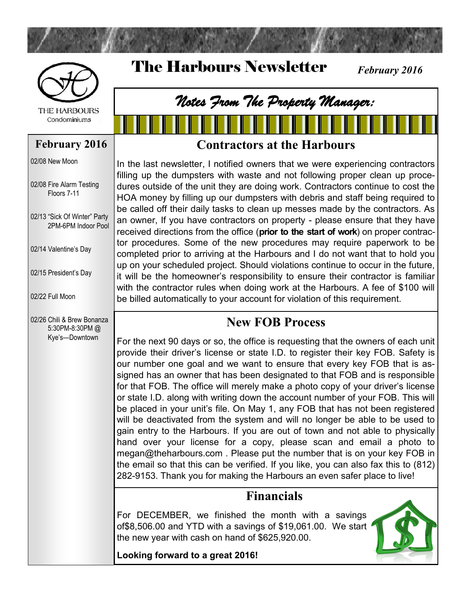

The Harbours Newsletter



**THE HARBOURS** Condominiums

#### **February 2016**

02/08 New Moon

02/08 Fire Alarm Testing Floors 7-11

02/13 "Sick Of Winter" Party 2PM-6PM Indoor Pool

02/14 Valentine's Day

02/15 President's Day

02/22 Full Moon

02/26 Chili & Brew Bonanza 5:30PM-8:30PM @ Kye's—Downtown

## **Contractors at the Harbours**

*Notes From The Property Manager:*

In the last newsletter, I notified owners that we were experiencing contractors filling up the dumpsters with waste and not following proper clean up procedures outside of the unit they are doing work. Contractors continue to cost the HOA money by filling up our dumpsters with debris and staff being required to be called off their daily tasks to clean up messes made by the contractors. As an owner, If you have contractors on property - please ensure that they have received directions from the office (**prior to the start of work**) on proper contractor procedures. Some of the new procedures may require paperwork to be completed prior to arriving at the Harbours and I do not want that to hold you up on your scheduled project. Should violations continue to occur in the future, it will be the homeowner's responsibility to ensure their contractor is familiar with the contractor rules when doing work at the Harbours. A fee of \$100 will be billed automatically to your account for violation of this requirement.

#### **New FOB Process**

For the next 90 days or so, the office is requesting that the owners of each unit provide their driver's license or state I.D. to register their key FOB. Safety is our number one goal and we want to ensure that every key FOB that is assigned has an owner that has been designated to that FOB and is responsible for that FOB. The office will merely make a photo copy of your driver's license or state I.D. along with writing down the account number of your FOB. This will be placed in your unit's file. On May 1, any FOB that has not been registered will be deactivated from the system and will no longer be able to be used to gain entry to the Harbours. If you are out of town and not able to physically hand over your license for a copy, please scan and email a photo to megan@theharbours.com . Please put the number that is on your key FOB in the email so that this can be verified. If you like, you can also fax this to (812) 282-9153. Thank you for making the Harbours an even safer place to live!

## **Financials**

For DECEMBER, we finished the month with a savings of\$8,506.00 and YTD with a savings of \$19,061.00. We start the new year with cash on hand of \$625,920.00.



*February 2016*

**Looking forward to a great 2016!**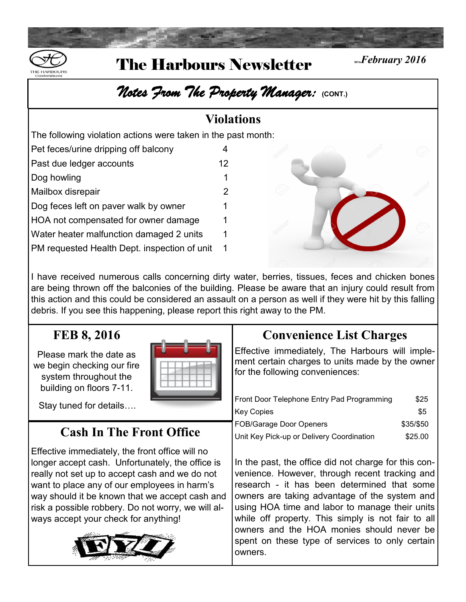

# **The Harbours Newsletter** *Existebruary 2016*

# *Notes From The Property Manager:* **(CONT.)**

#### **Violations**

The following violation actions were taken in the past month:

| Pet feces/urine dripping off balcony         |    |
|----------------------------------------------|----|
| Past due ledger accounts                     | 12 |
| Dog howling                                  | 1  |
| Mailbox disrepair                            | 2  |
| Dog feces left on paver walk by owner        | 1  |
| HOA not compensated for owner damage         | 1  |
| Water heater malfunction damaged 2 units     | 1  |
| PM requested Health Dept. inspection of unit | 1  |



I have received numerous calls concerning dirty water, berries, tissues, feces and chicken bones are being thrown off the balconies of the building. Please be aware that an injury could result from this action and this could be considered an assault on a person as well if they were hit by this falling debris. If you see this happening, please report this right away to the PM.

## **FEB 8, 2016**

Please mark the date as we begin checking our fire system throughout the building on floors 7-11.

Stay tuned for details….

## **Cash In The Front Office**

Effective immediately, the front office will no longer accept cash. Unfortunately, the office is really not set up to accept cash and we do not want to place any of our employees in harm's way should it be known that we accept cash and risk a possible robbery. Do not worry, we will always accept your check for anything!



## **Convenience List Charges**

Effective immediately, The Harbours will implement certain charges to units made by the owner for the following conveniences:

| Front Door Telephone Entry Pad Programming | \$25      |
|--------------------------------------------|-----------|
| Key Copies                                 | \$5       |
| <b>FOB/Garage Door Openers</b>             | \$35/\$50 |
| Unit Key Pick-up or Delivery Coordination  | \$25.00   |

In the past, the office did not charge for this convenience. However, through recent tracking and research - it has been determined that some owners are taking advantage of the system and using HOA time and labor to manage their units while off property. This simply is not fair to all owners and the HOA monies should never be spent on these type of services to only certain [own](http://www.google.com/url?sa=i&rct=j&q=&esrc=s&source=images&cd=&cad=rja&uact=8&ved=0ahUKEwiovZOGo-HKAhWDQyYKHbQ9BN4QjRwIBw&url=http%3A%2F%2Falfa-img.com%2Fshow%2Ffyi-clip-art-black-and-white.html&bvm=bv.113370389,d.eWE&psig=AFQjCNHj9QurV8T-pH60sl-lR2YDm)ers.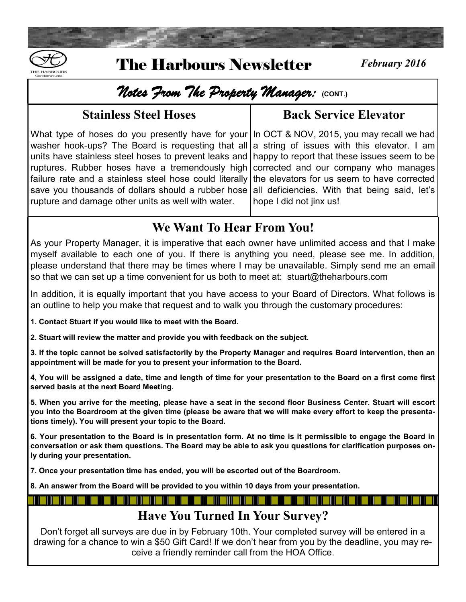

# The Harbours Newsletter *February 2016*

## *Notes From The Property Manager:* **(CONT.)**

#### **Stainless Steel Hoses**

#### **Back Service Elevator**

What type of hoses do you presently have for your In OCT & NOV, 2015, you may recall we had washer hook-ups? The Board is requesting that all units have stainless steel hoses to prevent leaks and ruptures. Rubber hoses have a tremendously high failure rate and a stainless steel hose could literally save you thousands of dollars should a rubber hose rupture and damage other units as well with water.

a string of issues with this elevator. I am happy to report that these issues seem to be corrected and our company who manages the elevators for us seem to have corrected all deficiencies. With that being said, let's hope I did not jinx us!

## **We Want To Hear From You!**

As your Property Manager, it is imperative that each owner have unlimited access and that I make myself available to each one of you. If there is anything you need, please see me. In addition, please understand that there may be times where I may be unavailable. Simply send me an email so that we can set up a time convenient for us both to meet at: stuart@theharbours.com

In addition, it is equally important that you have access to your Board of Directors. What follows is an outline to help you make that request and to walk you through the customary procedures:

**1. Contact Stuart if you would like to meet with the Board.**

**2. Stuart will review the matter and provide you with feedback on the subject.**

**3. If the topic cannot be solved satisfactorily by the Property Manager and requires Board intervention, then an appointment will be made for you to present your information to the Board.** 

**4, You will be assigned a date, time and length of time for your presentation to the Board on a first come first served basis at the next Board Meeting.** 

**5. When you arrive for the meeting, please have a seat in the second floor Business Center. Stuart will escort you into the Boardroom at the given time (please be aware that we will make every effort to keep the presentations timely). You will present your topic to the Board.** 

**6. Your presentation to the Board is in presentation form. At no time is it permissible to engage the Board in conversation or ask them questions. The Board may be able to ask you questions for clarification purposes only during your presentation.** 

**7. Once your presentation time has ended, you will be escorted out of the Boardroom.** 

**8. An answer from the Board will be provided to you within 10 days from your presentation.** 

## **Have You Turned In Your Survey?**

Don't forget all surveys are due in by February 10th. Your completed survey will be entered in a drawing for a chance to win a \$50 Gift Card! If we don't hear from you by the deadline, you may receive a friendly reminder call from the HOA Office.